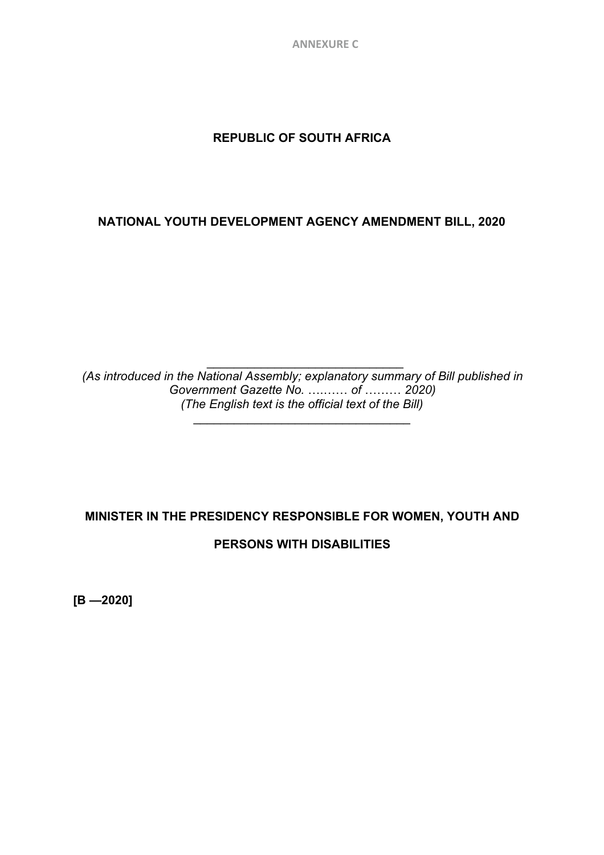**ANNEXURE C**

## **REPUBLIC OF SOUTH AFRICA**

### **NATIONAL YOUTH DEVELOPMENT AGENCY AMENDMENT BILL, 2020**

\_\_\_\_\_\_\_\_\_\_\_\_\_\_\_\_\_\_\_\_\_\_\_\_\_\_\_\_\_ *(As introduced in the National Assembly; explanatory summary of Bill published in Government Gazette No.* ….…… *of* ……… *2020) (The English text is the official text of the Bill)*

\_\_\_\_\_\_\_\_\_\_\_\_\_\_\_\_\_\_\_\_\_\_\_\_\_\_\_\_\_\_\_\_

# **MINISTER IN THE PRESIDENCY RESPONSIBLE FOR WOMEN, YOUTH AND PERSONS WITH DISABILITIES**

**[B —2020]**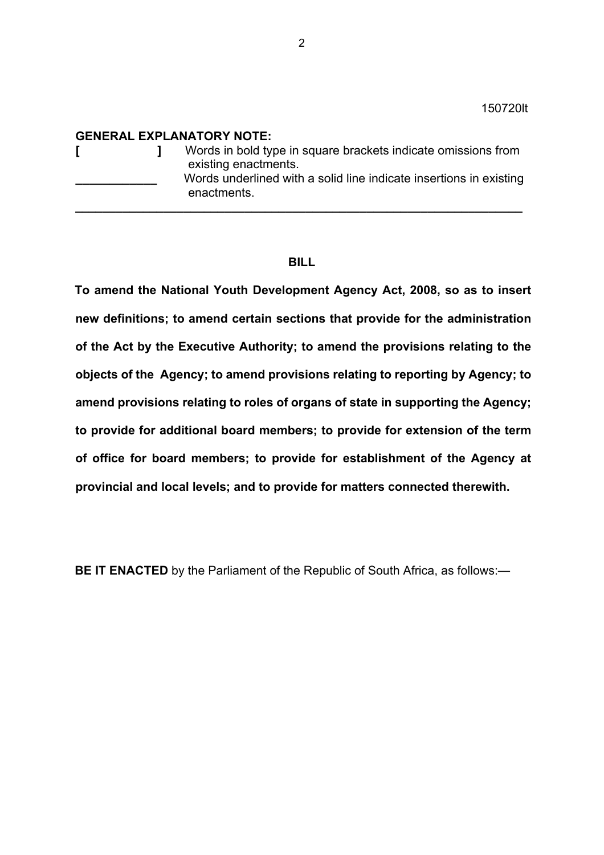#### **GENERAL EXPLANATORY NOTE:**

**[ ]** Words in bold type in square brackets indicate omissions from existing enactments. Words underlined with a solid line indicate insertions in existing enactments. **\_\_\_\_\_\_\_\_\_\_\_\_\_\_\_\_\_\_\_\_\_\_\_\_\_\_\_\_\_\_\_\_\_\_\_\_\_\_\_\_\_\_\_\_\_\_\_\_\_\_\_\_\_\_\_\_\_\_\_\_\_\_\_\_\_\_**

#### **BILL**

**To amend the National Youth Development Agency Act, 2008, so as to insert new definitions; to amend certain sections that provide for the administration of the Act by the Executive Authority; to amend the provisions relating to the objects of the Agency; to amend provisions relating to reporting by Agency; to amend provisions relating to roles of organs of state in supporting the Agency; to provide for additional board members; to provide for extension of the term of office for board members; to provide for establishment of the Agency at provincial and local levels; and to provide for matters connected therewith.**

**BE IT ENACTED** by the Parliament of the Republic of South Africa, as follows:—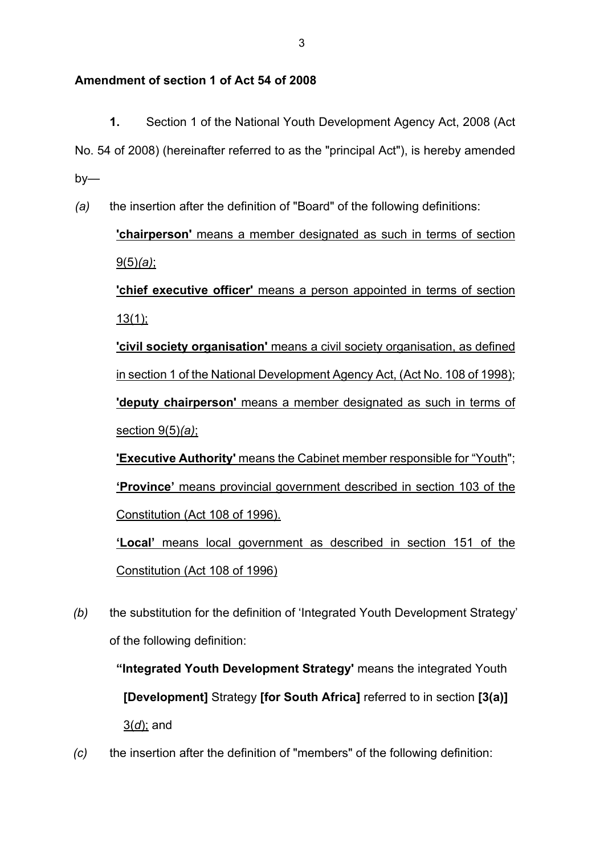### **Amendment of section 1 of Act 54 of 2008**

**1.** Section 1 of the National Youth Development Agency Act, 2008 (Act No. 54 of 2008) (hereinafter referred to as the "principal Act"), is hereby amended by—

*(a)* the insertion after the definition of "Board" of the following definitions:

**'chairperson'** means a member designated as such in terms of section 9(5)*(a)*;

**'chief executive officer'** means a person appointed in terms of section 13(1);

**'civil society organisation'** means a civil society organisation, as defined in section 1 of the National Development Agency Act, (Act No. 108 of 1998); **'deputy chairperson'** means a member designated as such in terms of section 9(5)*(a)*;

**'Executive Authority'** means the Cabinet member responsible for "Youth"; **'Province'** means provincial government described in section 103 of the Constitution (Act 108 of 1996).

**'Local'** means local government as described in section 151 of the Constitution (Act 108 of 1996)

*(b)* the substitution for the definition of 'Integrated Youth Development Strategy' of the following definition:

**"Integrated Youth Development Strategy'** means the integrated Youth **[Development]** Strategy **[for South Africa]** referred to in section **[3(a)]** 3(*d*); and

*(c)* the insertion after the definition of "members" of the following definition: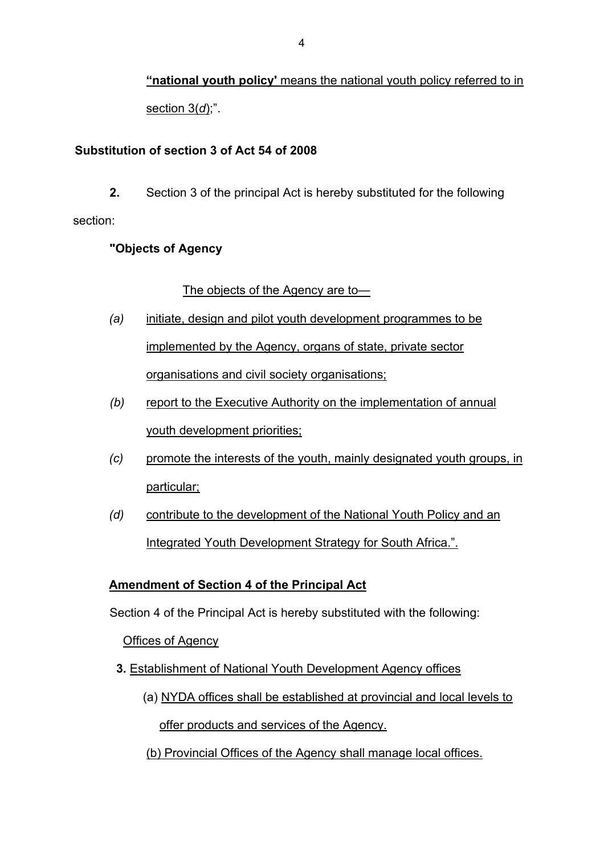**"national youth policy'** means the national youth policy referred to in section 3(d);".

### **Substitution of section 3 of Act 54 of 2008**

**2.** Section 3 of the principal Act is hereby substituted for the following section:

### **"Objects of Agency**

### The objects of the Agency are to—

- *(a)* initiate, design and pilot youth development programmes to be implemented by the Agency, organs of state, private sector organisations and civil society organisations;
- *(b)* report to the Executive Authority on the implementation of annual youth development priorities;
- *(c)* promote the interests of the youth, mainly designated youth groups, in particular;
- *(d)* contribute to the development of the National Youth Policy and an Integrated Youth Development Strategy for South Africa.".

### **Amendment of Section 4 of the Principal Act**

Section 4 of the Principal Act is hereby substituted with the following:

Offices of Agency

- **3.** Establishment of National Youth Development Agency offices
	- (a) NYDA offices shall be established at provincial and local levels to offer products and services of the Agency.
	- (b) Provincial Offices of the Agency shall manage local offices.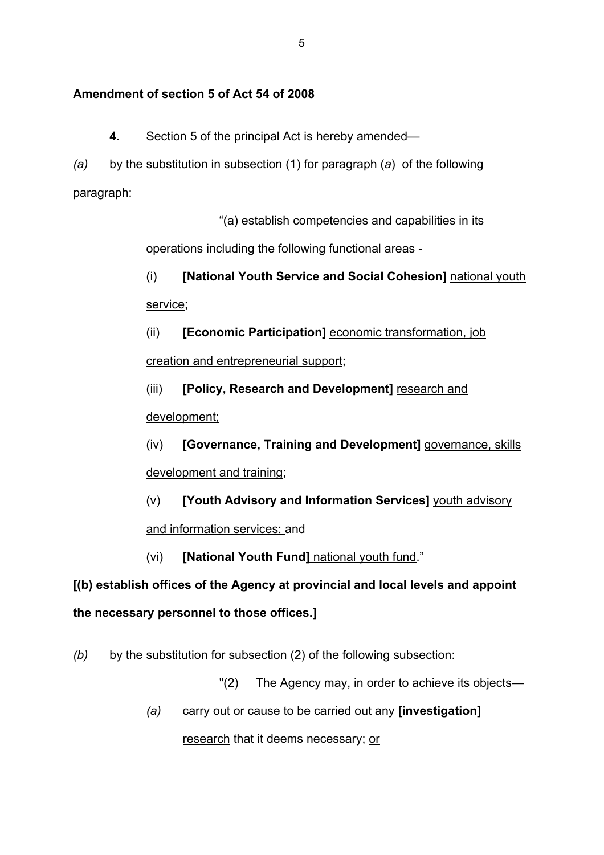### **Amendment of section 5 of Act 54 of 2008**

**4.** Section 5 of the principal Act is hereby amended—

*(a)* by the substitution in subsection (1) for paragraph (*a*) of the following paragraph:

"(a) establish competencies and capabilities in its

operations including the following functional areas -

(i) **[National Youth Service and Social Cohesion]** national youth service;

(ii) **[Economic Participation]** economic transformation, job creation and entrepreneurial support;

(iii) **[Policy, Research and Development]** research and development;

(iv) **[Governance, Training and Development]** governance, skills development and training;

- (v) **[Youth Advisory and Information Services]** youth advisory and information services; and
- (vi) **[National Youth Fund]** national youth fund."

# **[(b) establish offices of the Agency at provincial and local levels and appoint**

### **the necessary personnel to those offices.]**

*(b)* by the substitution for subsection (2) of the following subsection:

"(2) The Agency may, in order to achieve its objects—

*(a)* carry out or cause to be carried out any **[investigation]**  research that it deems necessary; or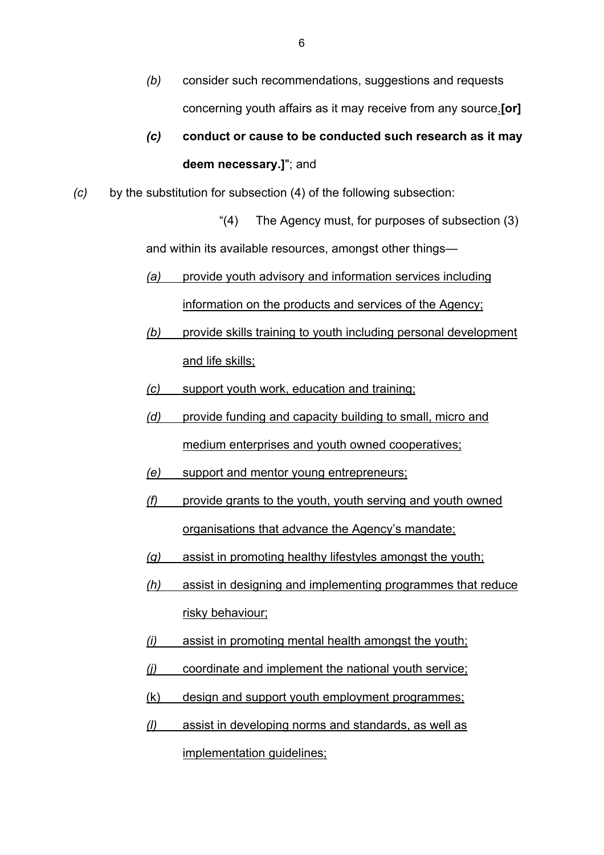- *(b)* consider such recommendations, suggestions and requests concerning youth affairs as it may receive from any source.**[or]**
- *(c)* **conduct or cause to be conducted such research as it may deem necessary.]**"; and
- *(c)* by the substitution for subsection (4) of the following subsection:

"(4) The Agency must, for purposes of subsection (3) and within its available resources, amongst other things—

- *(a)* provide youth advisory and information services including information on the products and services of the Agency;
- *(b)* provide skills training to youth including personal development and life skills;
- *(c)* support youth work, education and training;
- *(d)* provide funding and capacity building to small, micro and medium enterprises and youth owned cooperatives;
- *(e)* support and mentor young entrepreneurs;
- *(f)* provide grants to the youth, youth serving and youth owned organisations that advance the Agency's mandate;
- *(g)* assist in promoting healthy lifestyles amongst the youth;
- *(h)* assist in designing and implementing programmes that reduce risky behaviour;
- *(i)* assist in promoting mental health amongst the youth;
- *(j)* coordinate and implement the national youth service;
- (k) design and support youth employment programmes;
- *(l)* assist in developing norms and standards, as well as

implementation guidelines;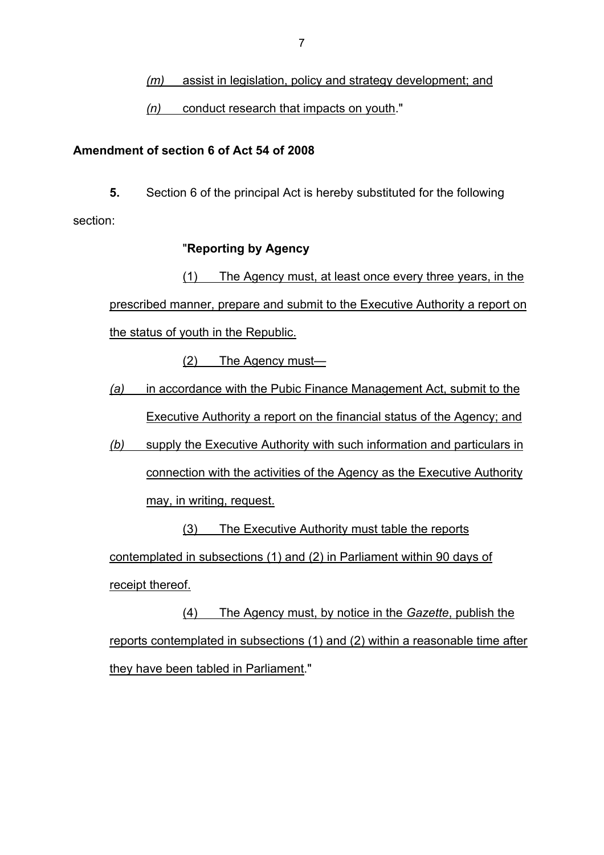*(m)* assist in legislation, policy and strategy development; and *(n)* conduct research that impacts on youth."

### **Amendment of section 6 of Act 54 of 2008**

**5.** Section 6 of the principal Act is hereby substituted for the following section:

#### "**Reporting by Agency**

(1) The Agency must, at least once every three years, in the prescribed manner, prepare and submit to the Executive Authority a report on the status of youth in the Republic.

(2) The Agency must—

*(a)* in accordance with the Pubic Finance Management Act, submit to the Executive Authority a report on the financial status of the Agency; and

*(b)* supply the Executive Authority with such information and particulars in connection with the activities of the Agency as the Executive Authority may, in writing, request.

(3) The Executive Authority must table the reports contemplated in subsections (1) and (2) in Parliament within 90 days of receipt thereof.

(4) The Agency must, by notice in the *Gazette*, publish the reports contemplated in subsections (1) and (2) within a reasonable time after they have been tabled in Parliament."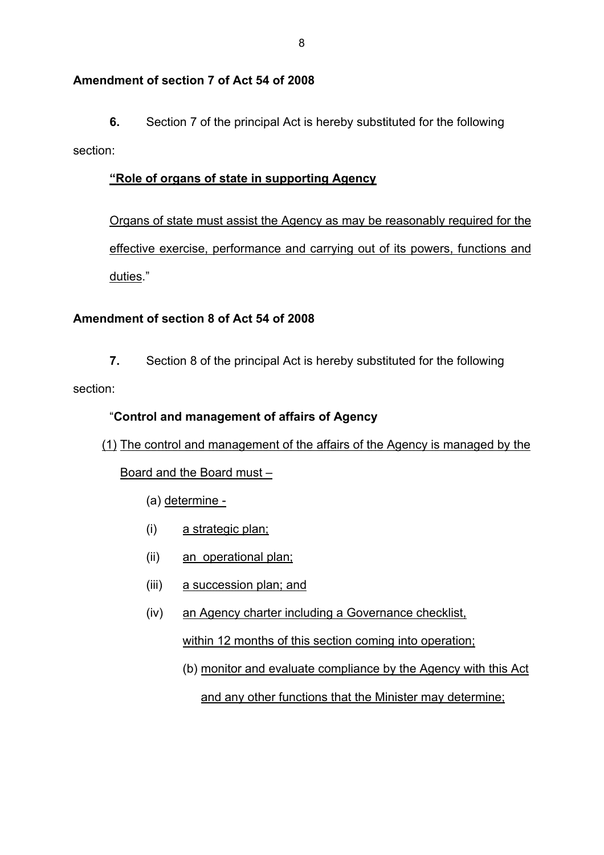### **Amendment of section 7 of Act 54 of 2008**

**6.** Section 7 of the principal Act is hereby substituted for the following section:

### **"Role of organs of state in supporting Agency**

Organs of state must assist the Agency as may be reasonably required for the effective exercise, performance and carrying out of its powers, functions and duties."

#### **Amendment of section 8 of Act 54 of 2008**

**7.** Section 8 of the principal Act is hereby substituted for the following

section:

### "**Control and management of affairs of Agency**

(1) The control and management of the affairs of the Agency is managed by the

Board and the Board must –

- (a) determine -
- (i) a strategic plan;
- (ii) an operational plan;
- (iii) a succession plan; and
- (iv) an Agency charter including a Governance checklist,

within 12 months of this section coming into operation;

(b) monitor and evaluate compliance by the Agency with this Act

and any other functions that the Minister may determine;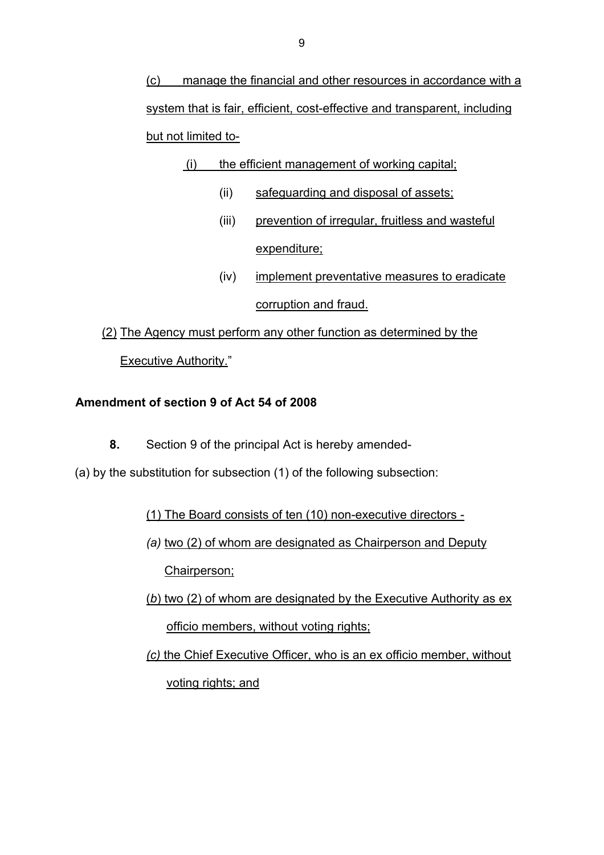(c) manage the financial and other resources in accordance with a system that is fair, efficient, cost-effective and transparent, including but not limited to-

- (i) the efficient management of working capital;
	- (ii) safeguarding and disposal of assets;
	- (iii) prevention of irregular, fruitless and wasteful expenditure;
	- (iv) implement preventative measures to eradicate

corruption and fraud.

(2) The Agency must perform any other function as determined by the Executive Authority."

### **Amendment of section 9 of Act 54 of 2008**

- **8.** Section 9 of the principal Act is hereby amended-
- (a) by the substitution for subsection (1) of the following subsection:
	- (1) The Board consists of ten (10) non-executive directors -
	- *(a)* two (2) of whom are designated as Chairperson and Deputy

Chairperson;

- (*b*) two (2) of whom are designated by the Executive Authority as ex officio members, without voting rights;
- *(c)* the Chief Executive Officer, who is an ex officio member, without voting rights; and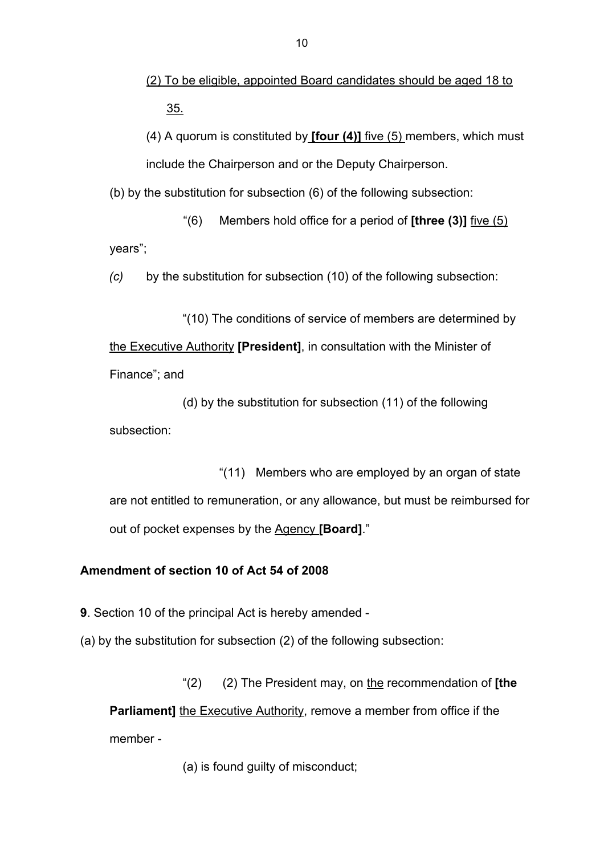(2) To be eligible, appointed Board candidates should be aged 18 to 35.

(4) A quorum is constituted by **[four (4)]** five (5) members, which must include the Chairperson and or the Deputy Chairperson.

(b) by the substitution for subsection (6) of the following subsection:

"(6) Members hold office for a period of **[three (3)]** five (5) years";

*(c)* by the substitution for subsection (10) of the following subsection:

"(10) The conditions of service of members are determined by the Executive Authority **[President]**, in consultation with the Minister of Finance"; and

(d) by the substitution for subsection (11) of the following subsection:

"(11) Members who are employed by an organ of state are not entitled to remuneration, or any allowance, but must be reimbursed for out of pocket expenses by the Agency **[Board]**."

#### **Amendment of section 10 of Act 54 of 2008**

**9**. Section 10 of the principal Act is hereby amended -

(a) by the substitution for subsection (2) of the following subsection:

"(2) (2) The President may, on the recommendation of **[the Parliament]** the Executive Authority, remove a member from office if the member -

(a) is found guilty of misconduct;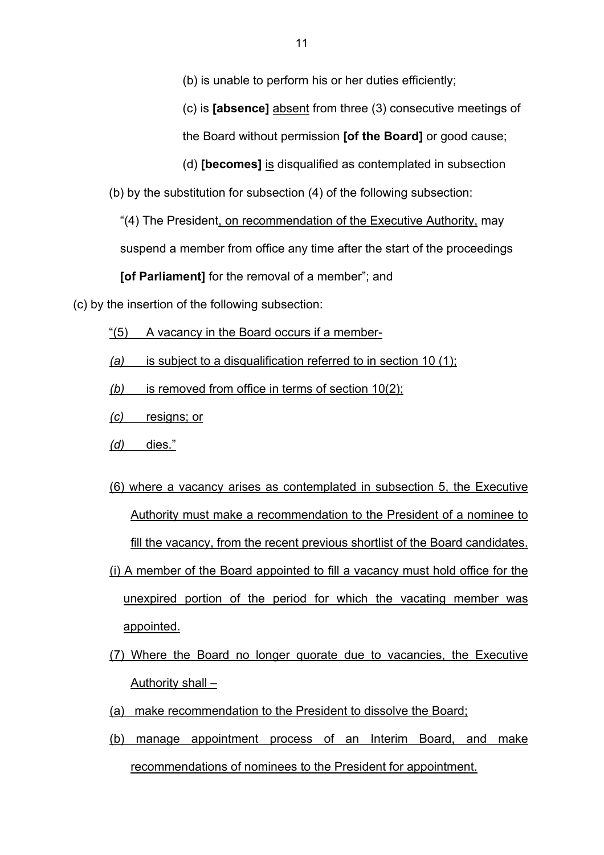(b) is unable to perform his or her duties efficiently;

(c) is **[absence]** absent from three (3) consecutive meetings of

the Board without permission **[of the Board]** or good cause;

(d) **[becomes]** is disqualified as contemplated in subsection

(b) by the substitution for subsection (4) of the following subsection:

"(4) The President, on recommendation of the Executive Authority, may

suspend a member from office any time after the start of the proceedings

**[of Parliament]** for the removal of a member"; and

(c) by the insertion of the following subsection:

"(5) A vacancy in the Board occurs if a member-

*(a)* is subject to a disqualification referred to in section 10 (1);

*(b)* is removed from office in terms of section 10(2);

*(c)* resigns; or

*(d)* dies."

- (6) where a vacancy arises as contemplated in subsection 5, the Executive Authority must make a recommendation to the President of a nominee to fill the vacancy, from the recent previous shortlist of the Board candidates.
- (i) A member of the Board appointed to fill a vacancy must hold office for the unexpired portion of the period for which the vacating member was appointed.
- (7) Where the Board no longer quorate due to vacancies, the Executive Authority shall –
- (a) make recommendation to the President to dissolve the Board;
- (b) manage appointment process of an Interim Board, and make recommendations of nominees to the President for appointment.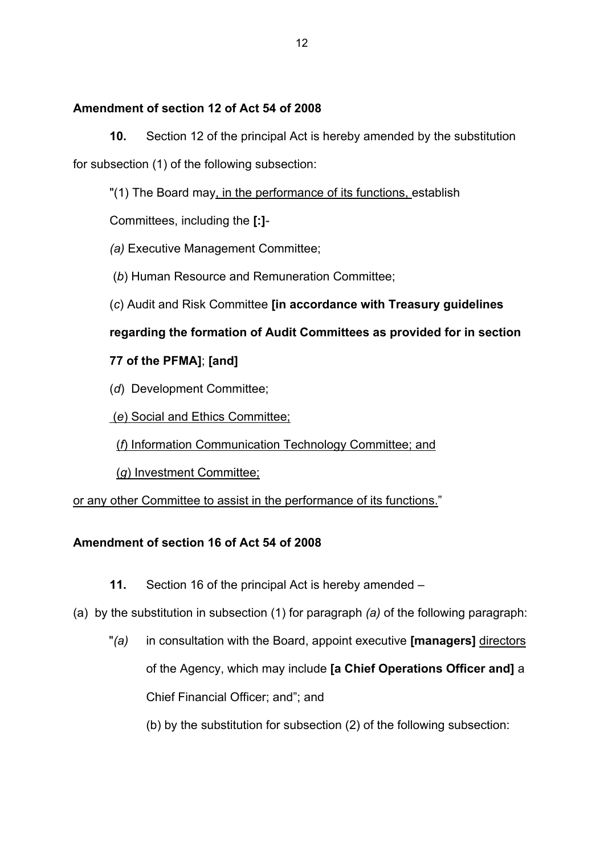### **Amendment of section 12 of Act 54 of 2008**

**10.** Section 12 of the principal Act is hereby amended by the substitution for subsection (1) of the following subsection:

"(1) The Board may, in the performance of its functions, establish

Committees, including the **[:]***-*

*(a)* Executive Management Committee;

(*b*) Human Resource and Remuneration Committee;

(*c*) Audit and Risk Committee **[in accordance with Treasury guidelines** 

**regarding the formation of Audit Committees as provided for in section** 

# **77 of the PFMA]**; **[and]**

(*d*) Development Committee;

(*e*) Social and Ethics Committee;

(*f*) Information Communication Technology Committee; and

(*g*) Investment Committee;

or any other Committee to assist in the performance of its functions."

# **Amendment of section 16 of Act 54 of 2008**

**11.** Section 16 of the principal Act is hereby amended –

- (a) by the substitution in subsection (1) for paragraph *(a)* of the following paragraph:
	- "*(a)* in consultation with the Board, appoint executive **[managers]** directors of the Agency, which may include **[a Chief Operations Officer and]** a Chief Financial Officer; and"; and

(b) by the substitution for subsection (2) of the following subsection: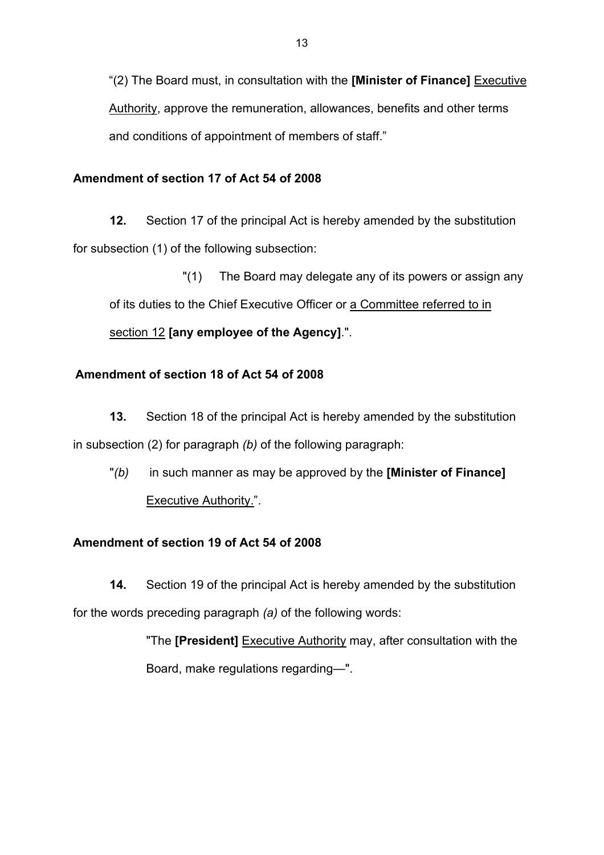"(2) The Board must, in consultation with the **[Minister of Finance]** Executive Authority, approve the remuneration, allowances, benefits and other terms and conditions of appointment of members of staff."

### **Amendment of section 17 of Act 54 of 2008**

**12.** Section 17 of the principal Act is hereby amended by the substitution for subsection (1) of the following subsection:

"(1) The Board may delegate any of its powers or assign any of its duties to the Chief Executive Officer or a Committee referred to in section 12 **[any employee of the Agency]**.".

### **Amendment of section 18 of Act 54 of 2008**

**13.** Section 18 of the principal Act is hereby amended by the substitution in subsection (2) for paragraph *(b)* of the following paragraph:

"*(b)* in such manner as may be approved by the **[Minister of Finance]**  Executive Authority.".

### **Amendment of section 19 of Act 54 of 2008**

**14.** Section 19 of the principal Act is hereby amended by the substitution for the words preceding paragraph *(a)* of the following words:

> "The **[President]** Executive Authority may, after consultation with the Board, make regulations regarding—".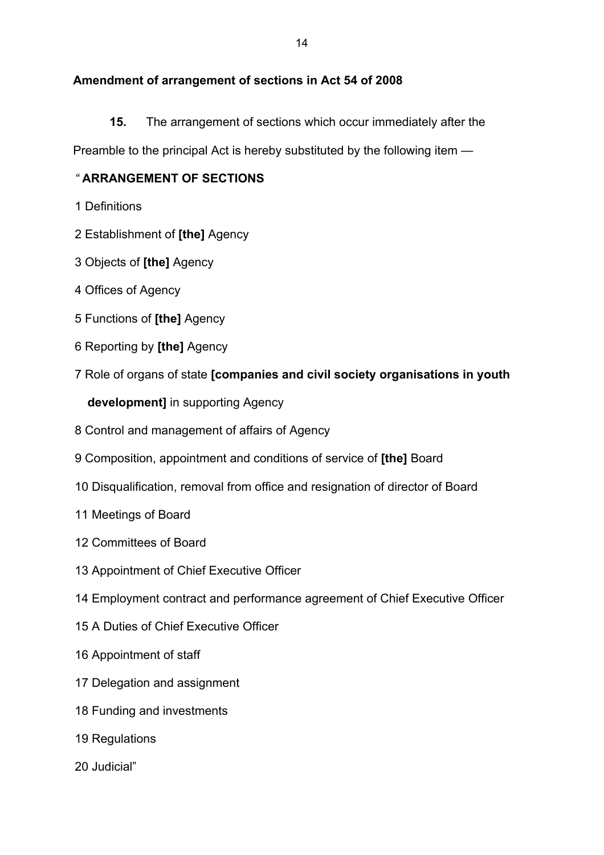### **Amendment of arrangement of sections in Act 54 of 2008**

**15.** The arrangement of sections which occur immediately after the

Preamble to the principal Act is hereby substituted by the following item —

### *"* **ARRANGEMENT OF SECTIONS**

- 1 Definitions
- 2 Establishment of **[the]** Agency
- 3 Objects of **[the]** Agency
- 4 Offices of Agency
- Functions of **[the]** Agency
- Reporting by **[the]** Agency
- Role of organs of state **[companies and civil society organisations in youth**

### **development]** in supporting Agency

- Control and management of affairs of Agency
- Composition, appointment and conditions of service of **[the]** Board
- Disqualification, removal from office and resignation of director of Board
- Meetings of Board
- Committees of Board
- Appointment of Chief Executive Officer
- Employment contract and performance agreement of Chief Executive Officer
- A Duties of Chief Executive Officer
- Appointment of staff
- Delegation and assignment
- Funding and investments
- 19 Regulations
- Judicial"